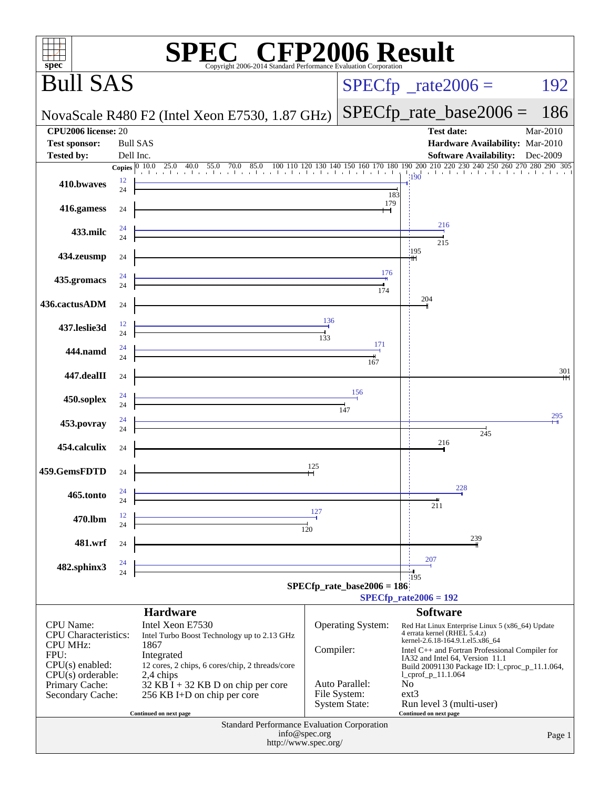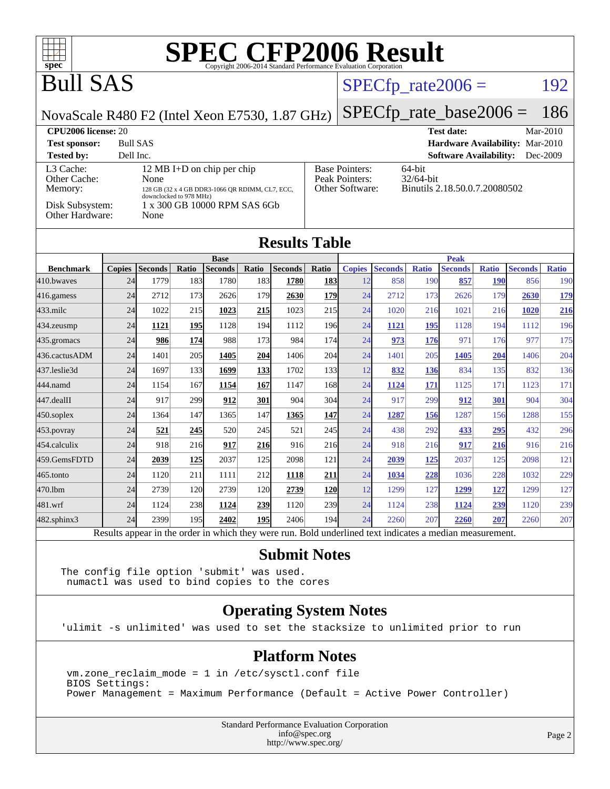

### Bull SAS

### $SPECfp_rate2006 = 192$  $SPECfp_rate2006 = 192$

NovaScale R480 F2 (Intel Xeon E7530, 1.87 GHz)

[SPECfp\\_rate\\_base2006 =](http://www.spec.org/auto/cpu2006/Docs/result-fields.html#SPECfpratebase2006) 186

| <b>CPU2006 license: 20</b>           |                                                                                                                  |                                                            | $Mar-2010$<br><b>Test date:</b>                         |
|--------------------------------------|------------------------------------------------------------------------------------------------------------------|------------------------------------------------------------|---------------------------------------------------------|
| <b>Test sponsor:</b>                 | <b>Bull SAS</b>                                                                                                  |                                                            | Hardware Availability: Mar-2010                         |
| <b>Tested by:</b>                    | Dell Inc.                                                                                                        |                                                            | <b>Software Availability:</b><br>Dec-2009               |
| L3 Cache:<br>Other Cache:<br>Memory: | 12 MB I+D on chip per chip<br>None<br>128 GB (32 x 4 GB DDR3-1066 QR RDIMM, CL7, ECC,<br>downclocked to 978 MHz) | <b>Base Pointers:</b><br>Peak Pointers:<br>Other Software: | 64-bit<br>$32/64$ -bit<br>Binutils 2.18.50.0.7.20080502 |
| Disk Subsystem:<br>Other Hardware:   | 1 x 300 GB 10000 RPM SAS 6Gb<br>None                                                                             |                                                            |                                                         |

| <b>Results Table</b> |                |                |                |                |             |                |            |                        |                |              |                |              |                |              |
|----------------------|----------------|----------------|----------------|----------------|-------------|----------------|------------|------------------------|----------------|--------------|----------------|--------------|----------------|--------------|
| <b>Base</b>          |                |                |                |                | <b>Peak</b> |                |            |                        |                |              |                |              |                |              |
| <b>Benchmark</b>     | <b>Copies</b>  | <b>Seconds</b> | Ratio          | <b>Seconds</b> | Ratio       | <b>Seconds</b> | Ratio      | <b>Copies</b>          | <b>Seconds</b> | <b>Ratio</b> | <b>Seconds</b> | <b>Ratio</b> | <b>Seconds</b> | <b>Ratio</b> |
| 410.bwayes           | 24             | 1779           | 183            | 1780           | 183         | 1780           | <b>183</b> | 12                     | 858            | 190          | 857            | <b>190</b>   | 856            | 190          |
| 416.gamess           | 24             | 2712           | 173            | 2626           | 179         | 2630           | 179        | 24                     | 2712           | 173          | 2626           | 179          | 2630           | <u>179</u>   |
| $433$ .milc          | 24             | 1022           | 215            | 1023           | 215         | 1023           | 215        | 24                     | 1020           | 216          | 1021           | 216          | 1020           | 216          |
| $434$ . zeusmp       | 24             | 1121           | 195            | 1128           | 194         | 1112           | <b>196</b> | 24                     | 1121           | 195          | 1128           | 194          | 1112           | 196          |
| 435.gromacs          | 24             | 986            | 174            | 988            | 173         | 984            | 174        | 24                     | 973            | 176          | 971            | 176          | 977            | 175          |
| 436.cactusADM        | 24             | 1401           | 205            | 1405           | 204         | 1406           | 204        | 24                     | 1401           | 205          | 1405           | 204          | 1406           | 204          |
| 437.leslie3d         | 24             | 1697           | 133            | 1699           | 133         | 1702           | 133        | 12                     | 832            | 136          | 834            | 135          | 832            | 136          |
| 444.namd             | 24             | 1154           | 167            | 1154           | 167         | 1147           | 168        | 24                     | 1124           | 171          | 1125           | 171          | 1123           | 171          |
| 447.dealII           | 24             | 917            | 299            | 912            | 301         | 904            | 304        | 24                     | 917            | 299          | 912            | 301          | 904            | 304          |
| 450.soplex           | 24             | 1364           | 147            | 1365           | 147         | 1365           | 147        | 24                     | 1287           | 156          | 1287           | 156          | 1288           | 155          |
| 453.povray           | 24             | 521            | 245            | 520            | 245         | 521            | 245        | 24                     | 438            | 292          | 433            | 295          | 432            | 296          |
| 454.calculix         | 24             | 918            | 216            | 917            | 216         | 916            | 216        | 24                     | 918            | 216          | 917            | 216          | 916            | 216          |
| 459.GemsFDTD         | 24             | 2039           | <u>125</u>     | 2037           | 125         | 2098           | 121        | 24                     | 2039           | 125          | 2037           | 125          | 2098           | 121          |
| $465$ .tonto         | 24             | 1120           | 211            | 1111           | 212         | 1118           | 211        | 24                     | 1034           | 228          | 1036           | 228          | 1032           | 229          |
| 470.1bm              | 24             | 2739           | 120            | 2739           | 120         | 2739           | 120        | 12                     | 1299           | 127          | 1299           | <u>127</u>   | 1299           | 127          |
| 481.wrf              | 24             | 1124           | 238            | 1124           | 239         | 1120           | 239        | 24                     | 1124           | 238          | 1124           | 239          | 1120           | 239          |
| 482.sphinx3          | 24             | 2399           | 195            | 2402           | 195         | 2406           | 194        | 24                     | 2260           | 207          | 2260           | 207          | 2260           | 207          |
| r.                   | $\mathbf{I}$ . | $\cdot$        | $\blacksquare$ | 1.1.1.1        |             |                | $T = 1.1$  | 1.11<br>$\blacksquare$ | $\cdots$       |              |                |              |                |              |

Results appear in the [order in which they were run.](http://www.spec.org/auto/cpu2006/Docs/result-fields.html#RunOrder) Bold underlined text [indicates a median measurement.](http://www.spec.org/auto/cpu2006/Docs/result-fields.html#Median)

#### **[Submit Notes](http://www.spec.org/auto/cpu2006/Docs/result-fields.html#SubmitNotes)**

The config file option 'submit' was used. numactl was used to bind copies to the cores

#### **[Operating System Notes](http://www.spec.org/auto/cpu2006/Docs/result-fields.html#OperatingSystemNotes)**

'ulimit -s unlimited' was used to set the stacksize to unlimited prior to run

#### **[Platform Notes](http://www.spec.org/auto/cpu2006/Docs/result-fields.html#PlatformNotes)**

 vm.zone\_reclaim\_mode = 1 in /etc/sysctl.conf file BIOS Settings: Power Management = Maximum Performance (Default = Active Power Controller)

> Standard Performance Evaluation Corporation [info@spec.org](mailto:info@spec.org) <http://www.spec.org/>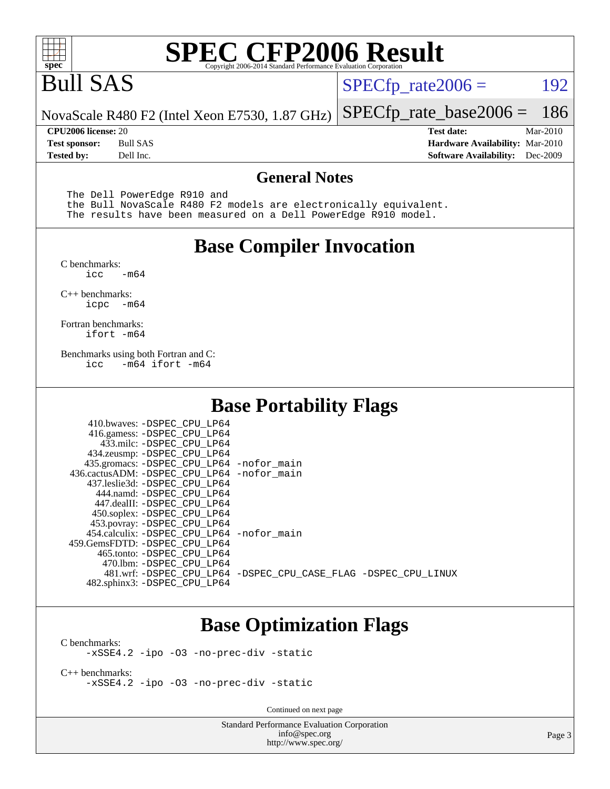

## Bull SAS

 $SPECTp_rate2006 = 192$ 

[SPECfp\\_rate\\_base2006 =](http://www.spec.org/auto/cpu2006/Docs/result-fields.html#SPECfpratebase2006) 186

NovaScale R480 F2 (Intel Xeon E7530, 1.87 GHz)

**[Tested by:](http://www.spec.org/auto/cpu2006/Docs/result-fields.html#Testedby)** Dell Inc. **[Software Availability:](http://www.spec.org/auto/cpu2006/Docs/result-fields.html#SoftwareAvailability)** Dec-2009

**[CPU2006 license:](http://www.spec.org/auto/cpu2006/Docs/result-fields.html#CPU2006license)** 20 **[Test date:](http://www.spec.org/auto/cpu2006/Docs/result-fields.html#Testdate)** Mar-2010 **[Test sponsor:](http://www.spec.org/auto/cpu2006/Docs/result-fields.html#Testsponsor)** Bull SAS **[Hardware Availability:](http://www.spec.org/auto/cpu2006/Docs/result-fields.html#HardwareAvailability)** Mar-2010

#### **[General Notes](http://www.spec.org/auto/cpu2006/Docs/result-fields.html#GeneralNotes)**

The Dell PowerEdge R910 and

 the Bull NovaScale R480 F2 models are electronically equivalent. The results have been measured on a Dell PowerEdge R910 model.

#### **[Base Compiler Invocation](http://www.spec.org/auto/cpu2006/Docs/result-fields.html#BaseCompilerInvocation)**

[C benchmarks](http://www.spec.org/auto/cpu2006/Docs/result-fields.html#Cbenchmarks):  $-m64$ 

[C++ benchmarks:](http://www.spec.org/auto/cpu2006/Docs/result-fields.html#CXXbenchmarks) [icpc -m64](http://www.spec.org/cpu2006/results/res2010q3/cpu2006-20100621-11907.flags.html#user_CXXbase_intel_icpc_64bit_bedb90c1146cab66620883ef4f41a67e)

[Fortran benchmarks](http://www.spec.org/auto/cpu2006/Docs/result-fields.html#Fortranbenchmarks): [ifort -m64](http://www.spec.org/cpu2006/results/res2010q3/cpu2006-20100621-11907.flags.html#user_FCbase_intel_ifort_64bit_ee9d0fb25645d0210d97eb0527dcc06e)

[Benchmarks using both Fortran and C](http://www.spec.org/auto/cpu2006/Docs/result-fields.html#BenchmarksusingbothFortranandC): [icc -m64](http://www.spec.org/cpu2006/results/res2010q3/cpu2006-20100621-11907.flags.html#user_CC_FCbase_intel_icc_64bit_0b7121f5ab7cfabee23d88897260401c) [ifort -m64](http://www.spec.org/cpu2006/results/res2010q3/cpu2006-20100621-11907.flags.html#user_CC_FCbase_intel_ifort_64bit_ee9d0fb25645d0210d97eb0527dcc06e)

#### **[Base Portability Flags](http://www.spec.org/auto/cpu2006/Docs/result-fields.html#BasePortabilityFlags)**

| 410.bwaves: -DSPEC CPU LP64<br>416.gamess: - DSPEC_CPU_LP64 |                                                                |
|-------------------------------------------------------------|----------------------------------------------------------------|
| 433.milc: -DSPEC CPU LP64                                   |                                                                |
| 434.zeusmp: -DSPEC_CPU_LP64                                 |                                                                |
| 435.gromacs: -DSPEC CPU LP64 -nofor main                    |                                                                |
| 436.cactusADM: -DSPEC CPU LP64 -nofor main                  |                                                                |
| 437.leslie3d: -DSPEC CPU LP64                               |                                                                |
| 444.namd: -DSPEC CPU LP64                                   |                                                                |
| 447.dealII: -DSPEC CPU LP64                                 |                                                                |
| 450.soplex: -DSPEC_CPU_LP64                                 |                                                                |
| 453.povray: -DSPEC CPU LP64                                 |                                                                |
| 454.calculix: - DSPEC CPU LP64 - nofor main                 |                                                                |
| 459.GemsFDTD: - DSPEC_CPU_LP64                              |                                                                |
| 465.tonto: - DSPEC CPU LP64                                 |                                                                |
| 470.1bm: - DSPEC CPU LP64                                   |                                                                |
|                                                             | 481.wrf: -DSPEC CPU_LP64 -DSPEC_CPU_CASE_FLAG -DSPEC_CPU_LINUX |
| 482.sphinx3: -DSPEC_CPU_LP64                                |                                                                |

#### **[Base Optimization Flags](http://www.spec.org/auto/cpu2006/Docs/result-fields.html#BaseOptimizationFlags)**

[C benchmarks](http://www.spec.org/auto/cpu2006/Docs/result-fields.html#Cbenchmarks): [-xSSE4.2](http://www.spec.org/cpu2006/results/res2010q3/cpu2006-20100621-11907.flags.html#user_CCbase_f-xSSE42_f91528193cf0b216347adb8b939d4107) [-ipo](http://www.spec.org/cpu2006/results/res2010q3/cpu2006-20100621-11907.flags.html#user_CCbase_f-ipo) [-O3](http://www.spec.org/cpu2006/results/res2010q3/cpu2006-20100621-11907.flags.html#user_CCbase_f-O3) [-no-prec-div](http://www.spec.org/cpu2006/results/res2010q3/cpu2006-20100621-11907.flags.html#user_CCbase_f-no-prec-div) [-static](http://www.spec.org/cpu2006/results/res2010q3/cpu2006-20100621-11907.flags.html#user_CCbase_f-static)

[C++ benchmarks:](http://www.spec.org/auto/cpu2006/Docs/result-fields.html#CXXbenchmarks) [-xSSE4.2](http://www.spec.org/cpu2006/results/res2010q3/cpu2006-20100621-11907.flags.html#user_CXXbase_f-xSSE42_f91528193cf0b216347adb8b939d4107) [-ipo](http://www.spec.org/cpu2006/results/res2010q3/cpu2006-20100621-11907.flags.html#user_CXXbase_f-ipo) [-O3](http://www.spec.org/cpu2006/results/res2010q3/cpu2006-20100621-11907.flags.html#user_CXXbase_f-O3) [-no-prec-div](http://www.spec.org/cpu2006/results/res2010q3/cpu2006-20100621-11907.flags.html#user_CXXbase_f-no-prec-div) [-static](http://www.spec.org/cpu2006/results/res2010q3/cpu2006-20100621-11907.flags.html#user_CXXbase_f-static)

Continued on next page

Standard Performance Evaluation Corporation [info@spec.org](mailto:info@spec.org) <http://www.spec.org/>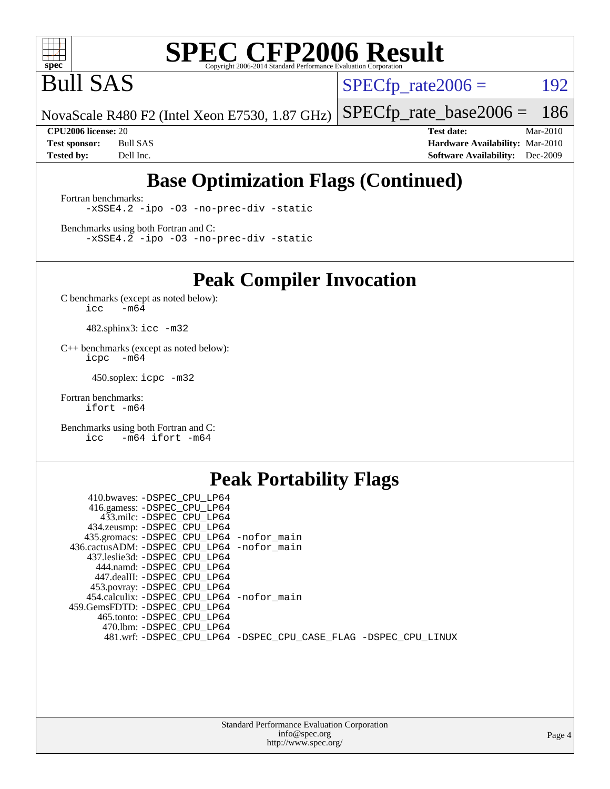

Bull SAS

 $SPECTp_rate2006 = 192$ 

NovaScale R480 F2 (Intel Xeon E7530, 1.87 GHz) [SPECfp\\_rate\\_base2006 =](http://www.spec.org/auto/cpu2006/Docs/result-fields.html#SPECfpratebase2006) 186

**[CPU2006 license:](http://www.spec.org/auto/cpu2006/Docs/result-fields.html#CPU2006license)** 20 **[Test date:](http://www.spec.org/auto/cpu2006/Docs/result-fields.html#Testdate)** Mar-2010 **[Test sponsor:](http://www.spec.org/auto/cpu2006/Docs/result-fields.html#Testsponsor)** Bull SAS **[Hardware Availability:](http://www.spec.org/auto/cpu2006/Docs/result-fields.html#HardwareAvailability)** Mar-2010 **[Tested by:](http://www.spec.org/auto/cpu2006/Docs/result-fields.html#Testedby)** Dell Inc. **[Software Availability:](http://www.spec.org/auto/cpu2006/Docs/result-fields.html#SoftwareAvailability)** Dec-2009

### **[Base Optimization Flags \(Continued\)](http://www.spec.org/auto/cpu2006/Docs/result-fields.html#BaseOptimizationFlags)**

[Fortran benchmarks](http://www.spec.org/auto/cpu2006/Docs/result-fields.html#Fortranbenchmarks): [-xSSE4.2](http://www.spec.org/cpu2006/results/res2010q3/cpu2006-20100621-11907.flags.html#user_FCbase_f-xSSE42_f91528193cf0b216347adb8b939d4107) [-ipo](http://www.spec.org/cpu2006/results/res2010q3/cpu2006-20100621-11907.flags.html#user_FCbase_f-ipo) [-O3](http://www.spec.org/cpu2006/results/res2010q3/cpu2006-20100621-11907.flags.html#user_FCbase_f-O3) [-no-prec-div](http://www.spec.org/cpu2006/results/res2010q3/cpu2006-20100621-11907.flags.html#user_FCbase_f-no-prec-div) [-static](http://www.spec.org/cpu2006/results/res2010q3/cpu2006-20100621-11907.flags.html#user_FCbase_f-static)

[Benchmarks using both Fortran and C](http://www.spec.org/auto/cpu2006/Docs/result-fields.html#BenchmarksusingbothFortranandC): [-xSSE4.2](http://www.spec.org/cpu2006/results/res2010q3/cpu2006-20100621-11907.flags.html#user_CC_FCbase_f-xSSE42_f91528193cf0b216347adb8b939d4107) [-ipo](http://www.spec.org/cpu2006/results/res2010q3/cpu2006-20100621-11907.flags.html#user_CC_FCbase_f-ipo) [-O3](http://www.spec.org/cpu2006/results/res2010q3/cpu2006-20100621-11907.flags.html#user_CC_FCbase_f-O3) [-no-prec-div](http://www.spec.org/cpu2006/results/res2010q3/cpu2006-20100621-11907.flags.html#user_CC_FCbase_f-no-prec-div) [-static](http://www.spec.org/cpu2006/results/res2010q3/cpu2006-20100621-11907.flags.html#user_CC_FCbase_f-static)

**[Peak Compiler Invocation](http://www.spec.org/auto/cpu2006/Docs/result-fields.html#PeakCompilerInvocation)**

[C benchmarks \(except as noted below\)](http://www.spec.org/auto/cpu2006/Docs/result-fields.html#Cbenchmarksexceptasnotedbelow):  $\text{icc}$  -m64

482.sphinx3: [icc -m32](http://www.spec.org/cpu2006/results/res2010q3/cpu2006-20100621-11907.flags.html#user_peakCCLD482_sphinx3_intel_icc_32bit_a6a621f8d50482236b970c6ac5f55f93)

[C++ benchmarks \(except as noted below\):](http://www.spec.org/auto/cpu2006/Docs/result-fields.html#CXXbenchmarksexceptasnotedbelow) [icpc -m64](http://www.spec.org/cpu2006/results/res2010q3/cpu2006-20100621-11907.flags.html#user_CXXpeak_intel_icpc_64bit_bedb90c1146cab66620883ef4f41a67e)

450.soplex: [icpc -m32](http://www.spec.org/cpu2006/results/res2010q3/cpu2006-20100621-11907.flags.html#user_peakCXXLD450_soplex_intel_icpc_32bit_4e5a5ef1a53fd332b3c49e69c3330699)

[Fortran benchmarks](http://www.spec.org/auto/cpu2006/Docs/result-fields.html#Fortranbenchmarks): [ifort -m64](http://www.spec.org/cpu2006/results/res2010q3/cpu2006-20100621-11907.flags.html#user_FCpeak_intel_ifort_64bit_ee9d0fb25645d0210d97eb0527dcc06e)

[Benchmarks using both Fortran and C](http://www.spec.org/auto/cpu2006/Docs/result-fields.html#BenchmarksusingbothFortranandC): [icc -m64](http://www.spec.org/cpu2006/results/res2010q3/cpu2006-20100621-11907.flags.html#user_CC_FCpeak_intel_icc_64bit_0b7121f5ab7cfabee23d88897260401c) [ifort -m64](http://www.spec.org/cpu2006/results/res2010q3/cpu2006-20100621-11907.flags.html#user_CC_FCpeak_intel_ifort_64bit_ee9d0fb25645d0210d97eb0527dcc06e)

#### **[Peak Portability Flags](http://www.spec.org/auto/cpu2006/Docs/result-fields.html#PeakPortabilityFlags)**

| 410.bwaves: -DSPEC CPU LP64                                    |  |
|----------------------------------------------------------------|--|
| 416.gamess: -DSPEC_CPU_LP64                                    |  |
| 433.milc: -DSPEC CPU LP64                                      |  |
| 434.zeusmp: -DSPEC_CPU_LP64                                    |  |
| 435.gromacs: -DSPEC_CPU_LP64 -nofor_main                       |  |
| 436.cactusADM: -DSPEC CPU LP64 -nofor main                     |  |
| 437.leslie3d: -DSPEC CPU LP64                                  |  |
| 444.namd: -DSPEC CPU LP64                                      |  |
| 447.dealII: -DSPEC CPU LP64                                    |  |
| 453.povray: -DSPEC_CPU_LP64                                    |  |
| 454.calculix: -DSPEC_CPU_LP64 -nofor_main                      |  |
| 459.GemsFDTD: -DSPEC CPU LP64                                  |  |
| 465.tonto: -DSPEC CPU LP64                                     |  |
| 470.1bm: - DSPEC CPU LP64                                      |  |
| 481.wrf: -DSPEC_CPU_LP64 -DSPEC_CPU_CASE_FLAG -DSPEC_CPU_LINUX |  |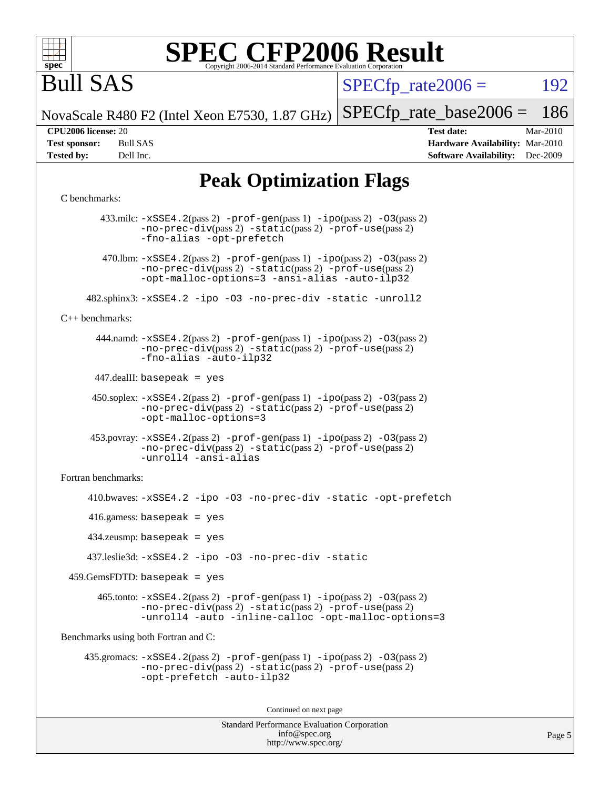

# Bull SAS

 $SPECTp\_rate2006 = 192$ 

NovaScale R480 F2 (Intel Xeon E7530, 1.87 GHz) [SPECfp\\_rate\\_base2006 =](http://www.spec.org/auto/cpu2006/Docs/result-fields.html#SPECfpratebase2006) 186

**[CPU2006 license:](http://www.spec.org/auto/cpu2006/Docs/result-fields.html#CPU2006license)** 20 **[Test date:](http://www.spec.org/auto/cpu2006/Docs/result-fields.html#Testdate)** Mar-2010 **[Test sponsor:](http://www.spec.org/auto/cpu2006/Docs/result-fields.html#Testsponsor)** Bull SAS **[Hardware Availability:](http://www.spec.org/auto/cpu2006/Docs/result-fields.html#HardwareAvailability)** Mar-2010 **[Tested by:](http://www.spec.org/auto/cpu2006/Docs/result-fields.html#Testedby)** Dell Inc. **[Software Availability:](http://www.spec.org/auto/cpu2006/Docs/result-fields.html#SoftwareAvailability)** Dec-2009

### **[Peak Optimization Flags](http://www.spec.org/auto/cpu2006/Docs/result-fields.html#PeakOptimizationFlags)**

#### [C benchmarks](http://www.spec.org/auto/cpu2006/Docs/result-fields.html#Cbenchmarks):

Standard Performance Evaluation Corporation 433.milc: [-xSSE4.2](http://www.spec.org/cpu2006/results/res2010q3/cpu2006-20100621-11907.flags.html#user_peakPASS2_CFLAGSPASS2_LDFLAGS433_milc_f-xSSE42_f91528193cf0b216347adb8b939d4107)(pass 2) [-prof-gen](http://www.spec.org/cpu2006/results/res2010q3/cpu2006-20100621-11907.flags.html#user_peakPASS1_CFLAGSPASS1_LDFLAGS433_milc_prof_gen_e43856698f6ca7b7e442dfd80e94a8fc)(pass 1) [-ipo](http://www.spec.org/cpu2006/results/res2010q3/cpu2006-20100621-11907.flags.html#user_peakPASS2_CFLAGSPASS2_LDFLAGS433_milc_f-ipo)(pass 2) [-O3](http://www.spec.org/cpu2006/results/res2010q3/cpu2006-20100621-11907.flags.html#user_peakPASS2_CFLAGSPASS2_LDFLAGS433_milc_f-O3)(pass 2) [-no-prec-div](http://www.spec.org/cpu2006/results/res2010q3/cpu2006-20100621-11907.flags.html#user_peakPASS2_CFLAGSPASS2_LDFLAGS433_milc_f-no-prec-div)(pass 2) [-static](http://www.spec.org/cpu2006/results/res2010q3/cpu2006-20100621-11907.flags.html#user_peakPASS2_CFLAGSPASS2_LDFLAGS433_milc_f-static)(pass 2) [-prof-use](http://www.spec.org/cpu2006/results/res2010q3/cpu2006-20100621-11907.flags.html#user_peakPASS2_CFLAGSPASS2_LDFLAGS433_milc_prof_use_bccf7792157ff70d64e32fe3e1250b55)(pass 2) [-fno-alias](http://www.spec.org/cpu2006/results/res2010q3/cpu2006-20100621-11907.flags.html#user_peakOPTIMIZE433_milc_f-no-alias_694e77f6c5a51e658e82ccff53a9e63a) [-opt-prefetch](http://www.spec.org/cpu2006/results/res2010q3/cpu2006-20100621-11907.flags.html#user_peakOPTIMIZE433_milc_f-opt-prefetch) 470.lbm:  $-xSSE4$ . 2(pass 2)  $-prof-gen(pass 1) -ipo(pass 2) -O3(pass 2)$  $-prof-gen(pass 1) -ipo(pass 2) -O3(pass 2)$  $-prof-gen(pass 1) -ipo(pass 2) -O3(pass 2)$  $-prof-gen(pass 1) -ipo(pass 2) -O3(pass 2)$  $-prof-gen(pass 1) -ipo(pass 2) -O3(pass 2)$  $-prof-gen(pass 1) -ipo(pass 2) -O3(pass 2)$ [-no-prec-div](http://www.spec.org/cpu2006/results/res2010q3/cpu2006-20100621-11907.flags.html#user_peakPASS2_CFLAGSPASS2_LDFLAGS470_lbm_f-no-prec-div)(pass 2) [-static](http://www.spec.org/cpu2006/results/res2010q3/cpu2006-20100621-11907.flags.html#user_peakPASS2_CFLAGSPASS2_LDFLAGS470_lbm_f-static)(pass 2) [-prof-use](http://www.spec.org/cpu2006/results/res2010q3/cpu2006-20100621-11907.flags.html#user_peakPASS2_CFLAGSPASS2_LDFLAGS470_lbm_prof_use_bccf7792157ff70d64e32fe3e1250b55)(pass 2) [-opt-malloc-options=3](http://www.spec.org/cpu2006/results/res2010q3/cpu2006-20100621-11907.flags.html#user_peakOPTIMIZE470_lbm_f-opt-malloc-options_13ab9b803cf986b4ee62f0a5998c2238) [-ansi-alias](http://www.spec.org/cpu2006/results/res2010q3/cpu2006-20100621-11907.flags.html#user_peakOPTIMIZE470_lbm_f-ansi-alias) [-auto-ilp32](http://www.spec.org/cpu2006/results/res2010q3/cpu2006-20100621-11907.flags.html#user_peakCOPTIMIZE470_lbm_f-auto-ilp32) 482.sphinx3: [-xSSE4.2](http://www.spec.org/cpu2006/results/res2010q3/cpu2006-20100621-11907.flags.html#user_peakOPTIMIZE482_sphinx3_f-xSSE42_f91528193cf0b216347adb8b939d4107) [-ipo](http://www.spec.org/cpu2006/results/res2010q3/cpu2006-20100621-11907.flags.html#user_peakOPTIMIZE482_sphinx3_f-ipo) [-O3](http://www.spec.org/cpu2006/results/res2010q3/cpu2006-20100621-11907.flags.html#user_peakOPTIMIZE482_sphinx3_f-O3) [-no-prec-div](http://www.spec.org/cpu2006/results/res2010q3/cpu2006-20100621-11907.flags.html#user_peakOPTIMIZE482_sphinx3_f-no-prec-div) [-static](http://www.spec.org/cpu2006/results/res2010q3/cpu2006-20100621-11907.flags.html#user_peakOPTIMIZE482_sphinx3_f-static) [-unroll2](http://www.spec.org/cpu2006/results/res2010q3/cpu2006-20100621-11907.flags.html#user_peakCOPTIMIZE482_sphinx3_f-unroll_784dae83bebfb236979b41d2422d7ec2) [C++ benchmarks:](http://www.spec.org/auto/cpu2006/Docs/result-fields.html#CXXbenchmarks) 444.namd: [-xSSE4.2](http://www.spec.org/cpu2006/results/res2010q3/cpu2006-20100621-11907.flags.html#user_peakPASS2_CXXFLAGSPASS2_LDFLAGS444_namd_f-xSSE42_f91528193cf0b216347adb8b939d4107)(pass 2) [-prof-gen](http://www.spec.org/cpu2006/results/res2010q3/cpu2006-20100621-11907.flags.html#user_peakPASS1_CXXFLAGSPASS1_LDFLAGS444_namd_prof_gen_e43856698f6ca7b7e442dfd80e94a8fc)(pass 1) [-ipo](http://www.spec.org/cpu2006/results/res2010q3/cpu2006-20100621-11907.flags.html#user_peakPASS2_CXXFLAGSPASS2_LDFLAGS444_namd_f-ipo)(pass 2) [-O3](http://www.spec.org/cpu2006/results/res2010q3/cpu2006-20100621-11907.flags.html#user_peakPASS2_CXXFLAGSPASS2_LDFLAGS444_namd_f-O3)(pass 2) [-no-prec-div](http://www.spec.org/cpu2006/results/res2010q3/cpu2006-20100621-11907.flags.html#user_peakPASS2_CXXFLAGSPASS2_LDFLAGS444_namd_f-no-prec-div)(pass 2) [-static](http://www.spec.org/cpu2006/results/res2010q3/cpu2006-20100621-11907.flags.html#user_peakPASS2_CXXFLAGSPASS2_LDFLAGS444_namd_f-static)(pass 2) [-prof-use](http://www.spec.org/cpu2006/results/res2010q3/cpu2006-20100621-11907.flags.html#user_peakPASS2_CXXFLAGSPASS2_LDFLAGS444_namd_prof_use_bccf7792157ff70d64e32fe3e1250b55)(pass 2) [-fno-alias](http://www.spec.org/cpu2006/results/res2010q3/cpu2006-20100621-11907.flags.html#user_peakCXXOPTIMIZE444_namd_f-no-alias_694e77f6c5a51e658e82ccff53a9e63a) [-auto-ilp32](http://www.spec.org/cpu2006/results/res2010q3/cpu2006-20100621-11907.flags.html#user_peakCXXOPTIMIZE444_namd_f-auto-ilp32) 447.dealII: basepeak = yes  $450.\text{soplex: } -x\text{SSE4}.2(\text{pass 2}) -\text{prof-gen}(\text{pass 1}) -\text{ipo}(\text{pass 2}) -\text{O3}(\text{pass 2})$ [-no-prec-div](http://www.spec.org/cpu2006/results/res2010q3/cpu2006-20100621-11907.flags.html#user_peakPASS2_CXXFLAGSPASS2_LDFLAGS450_soplex_f-no-prec-div)(pass 2) [-static](http://www.spec.org/cpu2006/results/res2010q3/cpu2006-20100621-11907.flags.html#user_peakPASS2_CXXFLAGSPASS2_LDFLAGS450_soplex_f-static)(pass 2) [-prof-use](http://www.spec.org/cpu2006/results/res2010q3/cpu2006-20100621-11907.flags.html#user_peakPASS2_CXXFLAGSPASS2_LDFLAGS450_soplex_prof_use_bccf7792157ff70d64e32fe3e1250b55)(pass 2) [-opt-malloc-options=3](http://www.spec.org/cpu2006/results/res2010q3/cpu2006-20100621-11907.flags.html#user_peakOPTIMIZE450_soplex_f-opt-malloc-options_13ab9b803cf986b4ee62f0a5998c2238) 453.povray: [-xSSE4.2](http://www.spec.org/cpu2006/results/res2010q3/cpu2006-20100621-11907.flags.html#user_peakPASS2_CXXFLAGSPASS2_LDFLAGS453_povray_f-xSSE42_f91528193cf0b216347adb8b939d4107)(pass 2) [-prof-gen](http://www.spec.org/cpu2006/results/res2010q3/cpu2006-20100621-11907.flags.html#user_peakPASS1_CXXFLAGSPASS1_LDFLAGS453_povray_prof_gen_e43856698f6ca7b7e442dfd80e94a8fc)(pass 1) [-ipo](http://www.spec.org/cpu2006/results/res2010q3/cpu2006-20100621-11907.flags.html#user_peakPASS2_CXXFLAGSPASS2_LDFLAGS453_povray_f-ipo)(pass 2) [-O3](http://www.spec.org/cpu2006/results/res2010q3/cpu2006-20100621-11907.flags.html#user_peakPASS2_CXXFLAGSPASS2_LDFLAGS453_povray_f-O3)(pass 2) [-no-prec-div](http://www.spec.org/cpu2006/results/res2010q3/cpu2006-20100621-11907.flags.html#user_peakPASS2_CXXFLAGSPASS2_LDFLAGS453_povray_f-no-prec-div)(pass 2) [-static](http://www.spec.org/cpu2006/results/res2010q3/cpu2006-20100621-11907.flags.html#user_peakPASS2_CXXFLAGSPASS2_LDFLAGS453_povray_f-static)(pass 2) [-prof-use](http://www.spec.org/cpu2006/results/res2010q3/cpu2006-20100621-11907.flags.html#user_peakPASS2_CXXFLAGSPASS2_LDFLAGS453_povray_prof_use_bccf7792157ff70d64e32fe3e1250b55)(pass 2) [-unroll4](http://www.spec.org/cpu2006/results/res2010q3/cpu2006-20100621-11907.flags.html#user_peakCXXOPTIMIZE453_povray_f-unroll_4e5e4ed65b7fd20bdcd365bec371b81f) [-ansi-alias](http://www.spec.org/cpu2006/results/res2010q3/cpu2006-20100621-11907.flags.html#user_peakCXXOPTIMIZE453_povray_f-ansi-alias) [Fortran benchmarks](http://www.spec.org/auto/cpu2006/Docs/result-fields.html#Fortranbenchmarks): 410.bwaves: [-xSSE4.2](http://www.spec.org/cpu2006/results/res2010q3/cpu2006-20100621-11907.flags.html#user_peakOPTIMIZE410_bwaves_f-xSSE42_f91528193cf0b216347adb8b939d4107) [-ipo](http://www.spec.org/cpu2006/results/res2010q3/cpu2006-20100621-11907.flags.html#user_peakOPTIMIZE410_bwaves_f-ipo) [-O3](http://www.spec.org/cpu2006/results/res2010q3/cpu2006-20100621-11907.flags.html#user_peakOPTIMIZE410_bwaves_f-O3) [-no-prec-div](http://www.spec.org/cpu2006/results/res2010q3/cpu2006-20100621-11907.flags.html#user_peakOPTIMIZE410_bwaves_f-no-prec-div) [-static](http://www.spec.org/cpu2006/results/res2010q3/cpu2006-20100621-11907.flags.html#user_peakOPTIMIZE410_bwaves_f-static) [-opt-prefetch](http://www.spec.org/cpu2006/results/res2010q3/cpu2006-20100621-11907.flags.html#user_peakOPTIMIZE410_bwaves_f-opt-prefetch) 416.gamess: basepeak = yes 434.zeusmp: basepeak = yes 437.leslie3d: [-xSSE4.2](http://www.spec.org/cpu2006/results/res2010q3/cpu2006-20100621-11907.flags.html#user_peakOPTIMIZE437_leslie3d_f-xSSE42_f91528193cf0b216347adb8b939d4107) [-ipo](http://www.spec.org/cpu2006/results/res2010q3/cpu2006-20100621-11907.flags.html#user_peakOPTIMIZE437_leslie3d_f-ipo) [-O3](http://www.spec.org/cpu2006/results/res2010q3/cpu2006-20100621-11907.flags.html#user_peakOPTIMIZE437_leslie3d_f-O3) [-no-prec-div](http://www.spec.org/cpu2006/results/res2010q3/cpu2006-20100621-11907.flags.html#user_peakOPTIMIZE437_leslie3d_f-no-prec-div) [-static](http://www.spec.org/cpu2006/results/res2010q3/cpu2006-20100621-11907.flags.html#user_peakOPTIMIZE437_leslie3d_f-static)  $459.GemsFDTD: basepeak = yes$  465.tonto: [-xSSE4.2](http://www.spec.org/cpu2006/results/res2010q3/cpu2006-20100621-11907.flags.html#user_peakPASS2_FFLAGSPASS2_LDFLAGS465_tonto_f-xSSE42_f91528193cf0b216347adb8b939d4107)(pass 2) [-prof-gen](http://www.spec.org/cpu2006/results/res2010q3/cpu2006-20100621-11907.flags.html#user_peakPASS1_FFLAGSPASS1_LDFLAGS465_tonto_prof_gen_e43856698f6ca7b7e442dfd80e94a8fc)(pass 1) [-ipo](http://www.spec.org/cpu2006/results/res2010q3/cpu2006-20100621-11907.flags.html#user_peakPASS2_FFLAGSPASS2_LDFLAGS465_tonto_f-ipo)(pass 2) [-O3](http://www.spec.org/cpu2006/results/res2010q3/cpu2006-20100621-11907.flags.html#user_peakPASS2_FFLAGSPASS2_LDFLAGS465_tonto_f-O3)(pass 2) [-no-prec-div](http://www.spec.org/cpu2006/results/res2010q3/cpu2006-20100621-11907.flags.html#user_peakPASS2_FFLAGSPASS2_LDFLAGS465_tonto_f-no-prec-div)(pass 2) [-static](http://www.spec.org/cpu2006/results/res2010q3/cpu2006-20100621-11907.flags.html#user_peakPASS2_FFLAGSPASS2_LDFLAGS465_tonto_f-static)(pass 2) [-prof-use](http://www.spec.org/cpu2006/results/res2010q3/cpu2006-20100621-11907.flags.html#user_peakPASS2_FFLAGSPASS2_LDFLAGS465_tonto_prof_use_bccf7792157ff70d64e32fe3e1250b55)(pass 2) [-unroll4](http://www.spec.org/cpu2006/results/res2010q3/cpu2006-20100621-11907.flags.html#user_peakOPTIMIZE465_tonto_f-unroll_4e5e4ed65b7fd20bdcd365bec371b81f) [-auto](http://www.spec.org/cpu2006/results/res2010q3/cpu2006-20100621-11907.flags.html#user_peakOPTIMIZE465_tonto_f-auto) [-inline-calloc](http://www.spec.org/cpu2006/results/res2010q3/cpu2006-20100621-11907.flags.html#user_peakOPTIMIZE465_tonto_f-inline-calloc) [-opt-malloc-options=3](http://www.spec.org/cpu2006/results/res2010q3/cpu2006-20100621-11907.flags.html#user_peakOPTIMIZE465_tonto_f-opt-malloc-options_13ab9b803cf986b4ee62f0a5998c2238) [Benchmarks using both Fortran and C](http://www.spec.org/auto/cpu2006/Docs/result-fields.html#BenchmarksusingbothFortranandC): 435.gromacs: [-xSSE4.2](http://www.spec.org/cpu2006/results/res2010q3/cpu2006-20100621-11907.flags.html#user_peakPASS2_CFLAGSPASS2_FFLAGSPASS2_LDFLAGS435_gromacs_f-xSSE42_f91528193cf0b216347adb8b939d4107)(pass 2) [-prof-gen](http://www.spec.org/cpu2006/results/res2010q3/cpu2006-20100621-11907.flags.html#user_peakPASS1_CFLAGSPASS1_FFLAGSPASS1_LDFLAGS435_gromacs_prof_gen_e43856698f6ca7b7e442dfd80e94a8fc)(pass 1) [-ipo](http://www.spec.org/cpu2006/results/res2010q3/cpu2006-20100621-11907.flags.html#user_peakPASS2_CFLAGSPASS2_FFLAGSPASS2_LDFLAGS435_gromacs_f-ipo)(pass 2) [-O3](http://www.spec.org/cpu2006/results/res2010q3/cpu2006-20100621-11907.flags.html#user_peakPASS2_CFLAGSPASS2_FFLAGSPASS2_LDFLAGS435_gromacs_f-O3)(pass 2) [-no-prec-div](http://www.spec.org/cpu2006/results/res2010q3/cpu2006-20100621-11907.flags.html#user_peakPASS2_CFLAGSPASS2_FFLAGSPASS2_LDFLAGS435_gromacs_f-no-prec-div)(pass 2) [-static](http://www.spec.org/cpu2006/results/res2010q3/cpu2006-20100621-11907.flags.html#user_peakPASS2_CFLAGSPASS2_FFLAGSPASS2_LDFLAGS435_gromacs_f-static)(pass 2) [-prof-use](http://www.spec.org/cpu2006/results/res2010q3/cpu2006-20100621-11907.flags.html#user_peakPASS2_CFLAGSPASS2_FFLAGSPASS2_LDFLAGS435_gromacs_prof_use_bccf7792157ff70d64e32fe3e1250b55)(pass 2) [-opt-prefetch](http://www.spec.org/cpu2006/results/res2010q3/cpu2006-20100621-11907.flags.html#user_peakOPTIMIZE435_gromacs_f-opt-prefetch) [-auto-ilp32](http://www.spec.org/cpu2006/results/res2010q3/cpu2006-20100621-11907.flags.html#user_peakCOPTIMIZE435_gromacs_f-auto-ilp32) Continued on next page

> [info@spec.org](mailto:info@spec.org) <http://www.spec.org/>